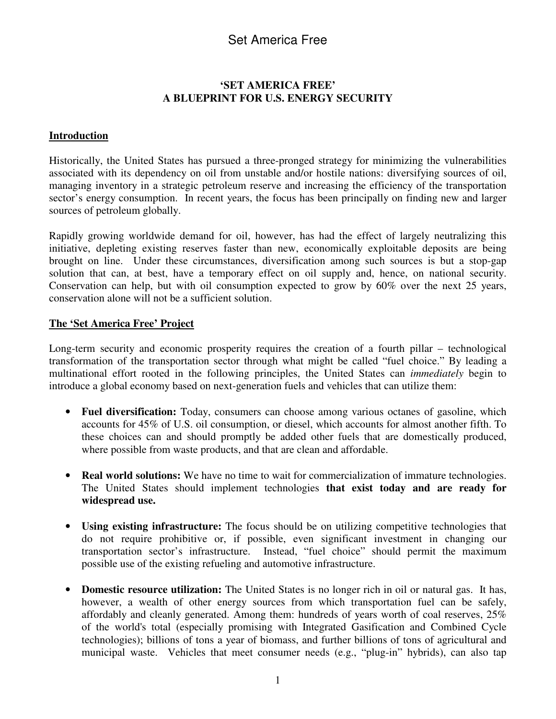## Set America Free

#### **'SET AMERICA FREE' A BLUEPRINT FOR U.S. ENERGY SECURITY**

#### **Introduction**

Historically, the United States has pursued a three-pronged strategy for minimizing the vulnerabilities associated with its dependency on oil from unstable and/or hostile nations: diversifying sources of oil, managing inventory in a strategic petroleum reserve and increasing the efficiency of the transportation sector's energy consumption. In recent years, the focus has been principally on finding new and larger sources of petroleum globally.

Rapidly growing worldwide demand for oil, however, has had the effect of largely neutralizing this initiative, depleting existing reserves faster than new, economically exploitable deposits are being brought on line. Under these circumstances, diversification among such sources is but a stop-gap solution that can, at best, have a temporary effect on oil supply and, hence, on national security. Conservation can help, but with oil consumption expected to grow by 60% over the next 25 years, conservation alone will not be a sufficient solution.

#### **The 'Set America Free' Project**

Long-term security and economic prosperity requires the creation of a fourth pillar – technological transformation of the transportation sector through what might be called "fuel choice." By leading a multinational effort rooted in the following principles, the United States can *immediately* begin to introduce a global economy based on next-generation fuels and vehicles that can utilize them:

- **Fuel diversification:** Today, consumers can choose among various octanes of gasoline, which accounts for 45% of U.S. oil consumption, or diesel, which accounts for almost another fifth. To these choices can and should promptly be added other fuels that are domestically produced, where possible from waste products, and that are clean and affordable.
- **Real world solutions:** We have no time to wait for commercialization of immature technologies. The United States should implement technologies **that exist today and are ready for widespread use.**
- **Using existing infrastructure:** The focus should be on utilizing competitive technologies that do not require prohibitive or, if possible, even significant investment in changing our transportation sector's infrastructure. Instead, "fuel choice" should permit the maximum possible use of the existing refueling and automotive infrastructure.
- **Domestic resource utilization:** The United States is no longer rich in oil or natural gas. It has, however, a wealth of other energy sources from which transportation fuel can be safely, affordably and cleanly generated. Among them: hundreds of years worth of coal reserves, 25% of the world's total (especially promising with Integrated Gasification and Combined Cycle technologies); billions of tons a year of biomass, and further billions of tons of agricultural and municipal waste. Vehicles that meet consumer needs (e.g., "plug-in" hybrids), can also tap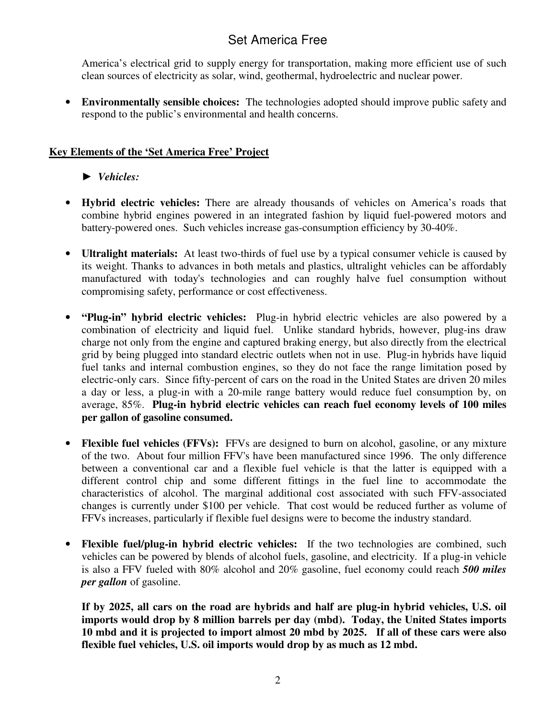# Set America Free

America's electrical grid to supply energy for transportation, making more efficient use of such clean sources of electricity as solar, wind, geothermal, hydroelectric and nuclear power.

• **Environmentally sensible choices:** The technologies adopted should improve public safety and respond to the public's environmental and health concerns.

## **Key Elements of the 'Set America Free' Project**

## *Vehicles:*

- **Hybrid electric vehicles:** There are already thousands of vehicles on America's roads that combine hybrid engines powered in an integrated fashion by liquid fuel-powered motors and battery-powered ones. Such vehicles increase gas-consumption efficiency by 30-40%.
- **Ultralight materials:** At least two-thirds of fuel use by a typical consumer vehicle is caused by its weight. Thanks to advances in both metals and plastics, ultralight vehicles can be affordably manufactured with today's technologies and can roughly halve fuel consumption without compromising safety, performance or cost effectiveness.
- **"Plug-in" hybrid electric vehicles:** Plug-in hybrid electric vehicles are also powered by a combination of electricity and liquid fuel. Unlike standard hybrids, however, plug-ins draw charge not only from the engine and captured braking energy, but also directly from the electrical grid by being plugged into standard electric outlets when not in use. Plug-in hybrids have liquid fuel tanks and internal combustion engines, so they do not face the range limitation posed by electric-only cars. Since fifty-percent of cars on the road in the United States are driven 20 miles a day or less, a plug-in with a 20-mile range battery would reduce fuel consumption by, on average, 85%. **Plug-in hybrid electric vehicles can reach fuel economy levels of 100 miles per gallon of gasoline consumed.**
- **Flexible fuel vehicles (FFVs):** FFVs are designed to burn on alcohol, gasoline, or any mixture of the two. About four million FFV's have been manufactured since 1996. The only difference between a conventional car and a flexible fuel vehicle is that the latter is equipped with a different control chip and some different fittings in the fuel line to accommodate the characteristics of alcohol. The marginal additional cost associated with such FFV-associated changes is currently under \$100 per vehicle. That cost would be reduced further as volume of FFVs increases, particularly if flexible fuel designs were to become the industry standard.
- **Flexible fuel/plug-in hybrid electric vehicles:** If the two technologies are combined, such vehicles can be powered by blends of alcohol fuels, gasoline, and electricity. If a plug-in vehicle is also a FFV fueled with 80% alcohol and 20% gasoline, fuel economy could reach *500 miles per gallon* of gasoline.

**If by 2025, all cars on the road are hybrids and half are plug-in hybrid vehicles, U.S. oil imports would drop by 8 million barrels per day (mbd). Today, the United States imports** 10 mbd and it is projected to import almost 20 mbd by 2025. If all of these cars were also **flexible fuel vehicles, U.S. oil imports would drop by as much as 12 mbd.**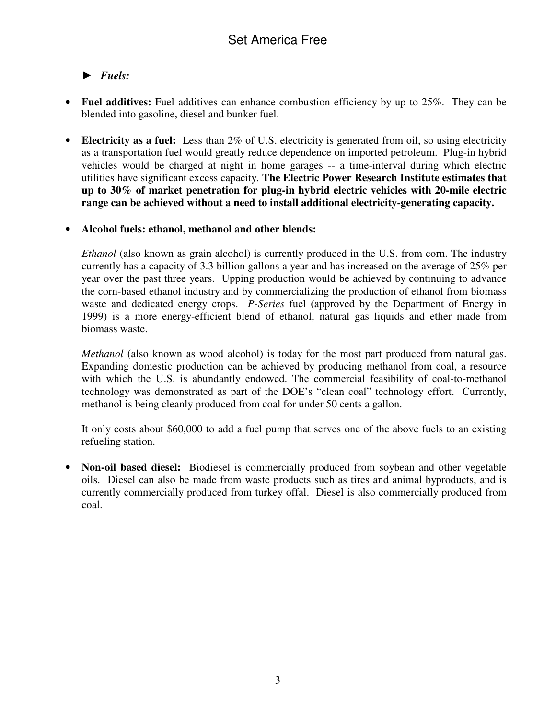## *Fuels:*

- **Fuel additives:** Fuel additives can enhance combustion efficiency by up to 25%. They can be blended into gasoline, diesel and bunker fuel.
- **Electricity as a fuel:** Less than 2% of U.S. electricity is generated from oil, so using electricity as a transportation fuel would greatly reduce dependence on imported petroleum. Plug-in hybrid vehicles would be charged at night in home garages -- a time-interval during which electric utilities have significant excess capacity. **The Electric Power Research Institute estimates that up to 30% of market penetration for plug-in hybrid electric vehicles with 20-mile electric range can be achieved without a need to install additional electricity-generating capacity.**

### • **Alcohol fuels: ethanol, methanol and other blends:**

*Ethanol* (also known as grain alcohol) is currently produced in the U.S. from corn. The industry currently has a capacity of 3.3 billion gallons a year and has increased on the average of 25% per year over the past three years. Upping production would be achieved by continuing to advance the corn-based ethanol industry and by commercializing the production of ethanol from biomass waste and dedicated energy crops. *P-Series* fuel (approved by the Department of Energy in 1999) is a more energy-efficient blend of ethanol, natural gas liquids and ether made from biomass waste.

*Methanol* (also known as wood alcohol) is today for the most part produced from natural gas. Expanding domestic production can be achieved by producing methanol from coal, a resource with which the U.S. is abundantly endowed. The commercial feasibility of coal-to-methanol technology was demonstrated as part of the DOE's "clean coal" technology effort. Currently, methanol is being cleanly produced from coal for under 50 cents a gallon.

It only costs about \$60,000 to add a fuel pump that serves one of the above fuels to an existing refueling station.

• **Non-oil based diesel:** Biodiesel is commercially produced from soybean and other vegetable oils. Diesel can also be made from waste products such as tires and animal byproducts, and is currently commercially produced from turkey offal. Diesel is also commercially produced from coal.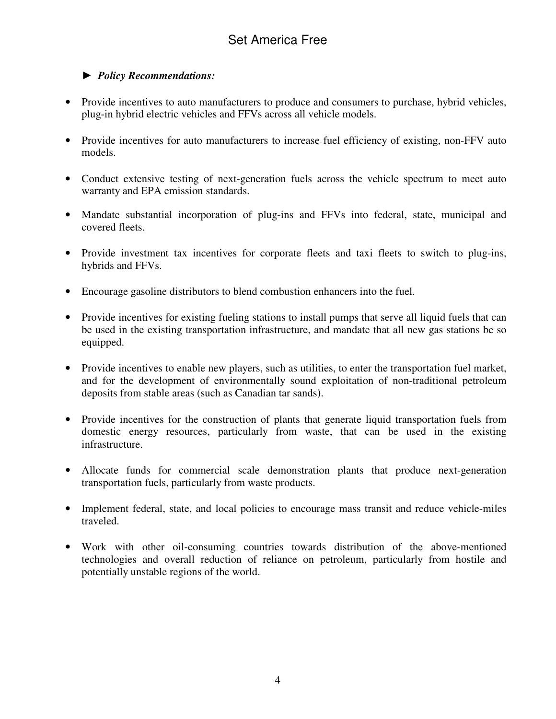## *Policy Recommendations:*

- Provide incentives to auto manufacturers to produce and consumers to purchase, hybrid vehicles, plug-in hybrid electric vehicles and FFVs across all vehicle models.
- Provide incentives for auto manufacturers to increase fuel efficiency of existing, non-FFV auto models.
- Conduct extensive testing of next-generation fuels across the vehicle spectrum to meet auto warranty and EPA emission standards.
- Mandate substantial incorporation of plug-ins and FFVs into federal, state, municipal and covered fleets.
- Provide investment tax incentives for corporate fleets and taxi fleets to switch to plug-ins, hybrids and FFVs.
- Encourage gasoline distributors to blend combustion enhancers into the fuel.
- Provide incentives for existing fueling stations to install pumps that serve all liquid fuels that can be used in the existing transportation infrastructure, and mandate that all new gas stations be so equipped.
- Provide incentives to enable new players, such as utilities, to enter the transportation fuel market, and for the development of environmentally sound exploitation of non-traditional petroleum deposits from stable areas (such as Canadian tar sands**)**.
- Provide incentives for the construction of plants that generate liquid transportation fuels from domestic energy resources, particularly from waste, that can be used in the existing infrastructure.
- Allocate funds for commercial scale demonstration plants that produce next-generation transportation fuels, particularly from waste products.
- Implement federal, state, and local policies to encourage mass transit and reduce vehicle-miles traveled.
- Work with other oil-consuming countries towards distribution of the above-mentioned technologies and overall reduction of reliance on petroleum, particularly from hostile and potentially unstable regions of the world.